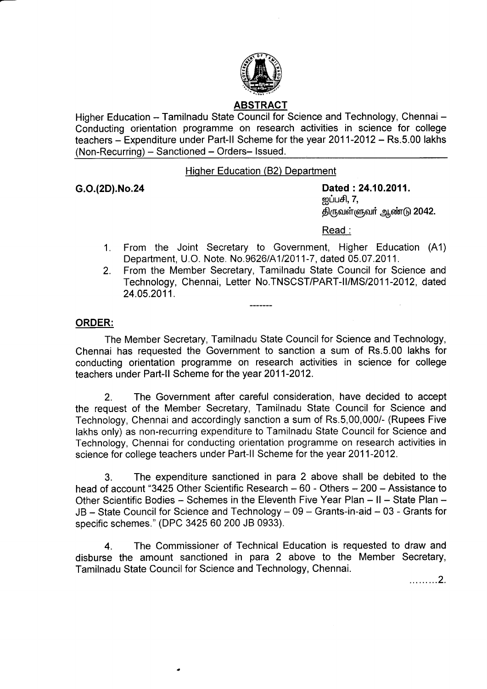

# ABSTRACT

Higher Education - Tamilnadu State Council for Science and Technology, Chennai -Conducting orientation programme on research activities in science for college teachers - Expenditure under Part-II Scheme for the year 2011-2012 - Rs.5.00 lakhs (Non-Recurring) - Sanctioned - Orders- Issued.

# Hiqher Education (82) Department

G.O.(2D).No.24 Dated :24.10.2011. னப்பசி,  $7,$ திருவள்ளுவர் ஆண்டு 2042.

## Read :

- 1. From the Joint Secretary to Government, Higher Education (A1) Department, U.O. Note. No.9626/4112011-7, dated 05.07.2011.
- 2. From the Member Secretary, Tamilnadu State Council for Science and Technology, Chennai, Letter No.TNSCST/PART-II/MS/2011-2012, dated 24.05.2011.

## ORDER:

The Member Secretary, Tamilnadu State Council for Science and Technology, Chennai has requested the Government to sanction a sum of Rs.5.00 lakhs for conducting orientation programme on research activities in science for college teachers under Part-ll Scheme for the year 2011-2012.

2. The Government after careful consideration, have decided to accept the request of the Member Secretary, Tamilnadu State Council for Science and Technology, Chennai and accordingly sanction asum of Rs.5,00,000/- (Rupees Five lakhs only) as non-recurring expenditure to Tamilnadu State Council for Science and Technology, Chennai for conducting orientation programme on research activities in science for college teachers under Part-ll Scheme for the year 2011-2012.

3. The expenditure sanctioned in para 2 above shall be debited to the head of account "3425 Other Scientific Research - 60 - Others - 200 - Assistance to Other Scientific Bodies - Schemes in the Eleventh Five Year Plan - II - State Plan -JB - State Council for Science and Technology - 09 - Grants-in-aid - 03 - Grants for specific schemes." (DPC 3425 60 200 JB 0933).

4. The Commissioner of Technical Education is requested to draw and disburse the amount sanctioned in para 2 above to the Member Secretary, Tamilnadu State Council for Science and Technology, Chennai.

. . . . . . . . . 2.